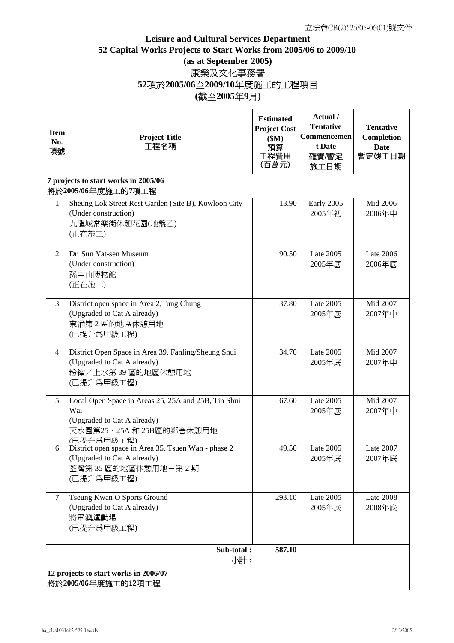## **Leisure and Cultural Services Department 52 Capital Works Projects to Start Works from 2005/06 to 2009/10 (as at September 2005)** 康樂及文化事務署 **52**項於**2005/06**至**2009/10**年度施工的工程項目 **(**截至**2005**年**9**月**)**

| <b>Item</b><br>No.<br>項號 | <b>Project Title</b><br>工程名稱                                                                                                      | <b>Estimated</b><br><b>Project Cost</b><br>\$M\$<br>預算<br>工程費用<br>(百萬元) | Actual /<br><b>Tentative</b><br>Commencemen<br>t Date<br>確實/暫定<br>施工日期 | <b>Tentative</b><br>Completion<br><b>Date</b><br>暫定竣工日期 |  |
|--------------------------|-----------------------------------------------------------------------------------------------------------------------------------|-------------------------------------------------------------------------|------------------------------------------------------------------------|---------------------------------------------------------|--|
|                          | 7 projects to start works in 2005/06<br>將於2005/06年度施工的7項工程                                                                        |                                                                         |                                                                        |                                                         |  |
| $\mathbf{1}$             | Sheung Lok Street Rest Garden (Site B), Kowloon City<br>(Under construction)<br>九龍城常樂街休憩花園(地盤乙)<br>(正在施工)                         | 13.90                                                                   | Early 2005<br>2005年初                                                   | Mid 2006<br>2006年中                                      |  |
| 2                        | Dr Sun Yat-sen Museum<br>(Under construction)<br>孫中山博物館<br>(正在施工)                                                                 | 90.50                                                                   | Late 2005<br>2005年底                                                    | <b>Late 2006</b><br>2006年底                              |  |
| 3                        | District open space in Area 2, Tung Chung<br>(Upgraded to Cat A already)<br>東涌第2區的地區休憩用地<br>(已提升為甲級工程)                            | 37.80                                                                   | Late 2005<br>2005年底                                                    | Mid 2007<br>2007年中                                      |  |
| $\overline{4}$           | District Open Space in Area 39, Fanling/Sheung Shui<br>(Upgraded to Cat A already)<br>粉嶺/上水第39區的地區休憩用地<br>(已提升為甲級工程)              | 34.70                                                                   | Late 2005<br>2005年底                                                    | Mid 2007<br>2007年中                                      |  |
| 5                        | Local Open Space in Areas 25, 25A and 25B, Tin Shui<br>Wai<br>(Upgraded to Cat A already)<br>天水圍第25、25A和25B區的鄰舍休憩用地<br>(已提升為甲級工程) | 67.60                                                                   | <b>Late 2005</b><br>2005年底                                             | Mid 2007<br>2007年中                                      |  |
| 6                        | District open space in Area 35, Tsuen Wan - phase 2<br>(Upgraded to Cat A already)<br>荃灣第35區的地區休憩用地一第2期<br>(已提升為甲級工程)             | 49.50                                                                   | Late 2005<br>2005年底                                                    | Late 2007<br>2007年底                                     |  |
| $\tau$                   | Tseung Kwan O Sports Ground<br>(Upgraded to Cat A already)<br>將軍澳運動場<br>(已提升為甲級工程)                                                | 293.10                                                                  | Late 2005<br>2005年底                                                    | <b>Late 2008</b><br>2008年底                              |  |
|                          | Sub-total:<br>小計:                                                                                                                 | 587.10                                                                  |                                                                        |                                                         |  |
|                          | 12 projects to start works in 2006/07<br>將於2005/06年度施工的12項工程                                                                      |                                                                         |                                                                        |                                                         |  |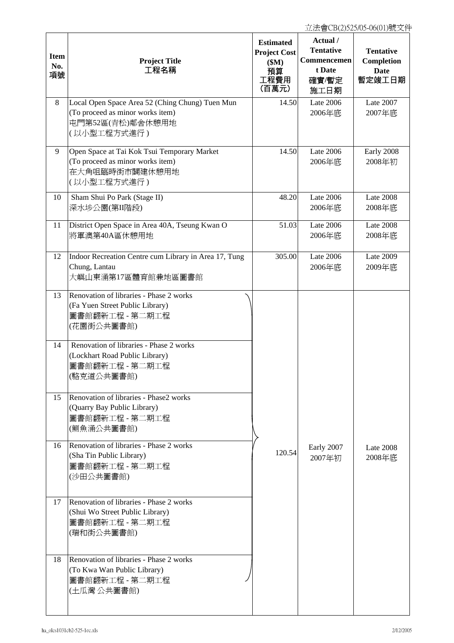| <b>Item</b><br>No.<br>項號 | <b>Project Title</b><br>工程名稱                                                                                                                                                                                              | <b>Estimated</b><br><b>Project Cost</b><br>\$M\$<br>預算<br>工程費用<br>(百萬元) | Actual /<br><b>Tentative</b><br>Commencemen<br>t Date<br>確實/暫定<br>施工日期 | <b>Tentative</b><br>Completion<br>Date<br>暫定竣工日期 |
|--------------------------|---------------------------------------------------------------------------------------------------------------------------------------------------------------------------------------------------------------------------|-------------------------------------------------------------------------|------------------------------------------------------------------------|--------------------------------------------------|
| 8                        | Local Open Space Area 52 (Ching Chung) Tuen Mun<br>(To proceed as minor works item)<br>屯門第52區(青松)鄰舍休憩用地<br>(以小型工程方式進行)                                                                                                    | 14.50                                                                   | <b>Late 2006</b><br>2006年底                                             | Late 2007<br>2007年底                              |
| 9                        | Open Space at Tai Kok Tsui Temporary Market<br>(To proceed as minor works item)<br>在大角咀臨時街市闢建休憩用地<br>(以小型工程方式進行)                                                                                                          | 14.50                                                                   | <b>Late 2006</b><br>2006年底                                             | Early 2008<br>2008年初                             |
| 10                       | Sham Shui Po Park (Stage II)<br>深水埗公園(第II階段)                                                                                                                                                                              | 48.20                                                                   | Late 2006<br>2006年底                                                    | Late 2008<br>2008年底                              |
| 11                       | District Open Space in Area 40A, Tseung Kwan O<br>將軍澳第40A區休憩用地                                                                                                                                                            | 51.03                                                                   | <b>Late 2006</b><br>2006年底                                             | Late 2008<br>2008年底                              |
| 12                       | Indoor Recreation Centre cum Library in Area 17, Tung<br>Chung, Lantau<br>大嶼山東涌第17區體育館兼地區圖書館                                                                                                                              | 305.00                                                                  | Late 2006<br>2006年底                                                    | Late 2009<br>2009年底                              |
| 13<br>14                 | Renovation of libraries - Phase 2 works<br>(Fa Yuen Street Public Library)<br>圖書館翻新工程 - 第二期工程<br>(花園街公共圖書館)<br>Renovation of libraries - Phase 2 works<br>(Lockhart Road Public Library)<br>圖書館翻新工程 - 第二期工程<br>(駱克道公共圖書館) |                                                                         |                                                                        |                                                  |
| 15                       | Renovation of libraries - Phase2 works<br>(Quarry Bay Public Library)<br>圖書館翻新工程 - 第二期工程<br>(鲗魚涌公共圖書館)                                                                                                                    |                                                                         |                                                                        |                                                  |
| 16                       | Renovation of libraries - Phase 2 works<br>(Sha Tin Public Library)<br>圖書館翻新工程 - 第二期工程<br>(沙田公共圖書館)                                                                                                                       | 120.54                                                                  | Early 2007<br>2007年初                                                   | Late $2008$<br>2008年底                            |
| 17                       | Renovation of libraries - Phase 2 works<br>(Shui Wo Street Public Library)<br>圖書館翻新工程 - 第二期工程<br>(瑞和街公共圖書館)                                                                                                               |                                                                         |                                                                        |                                                  |
| 18                       | Renovation of libraries - Phase 2 works<br>(To Kwa Wan Public Library)<br>圖書館翻新工程 - 第二期工程<br>(土瓜灣 公共圖書館)                                                                                                                  |                                                                         |                                                                        |                                                  |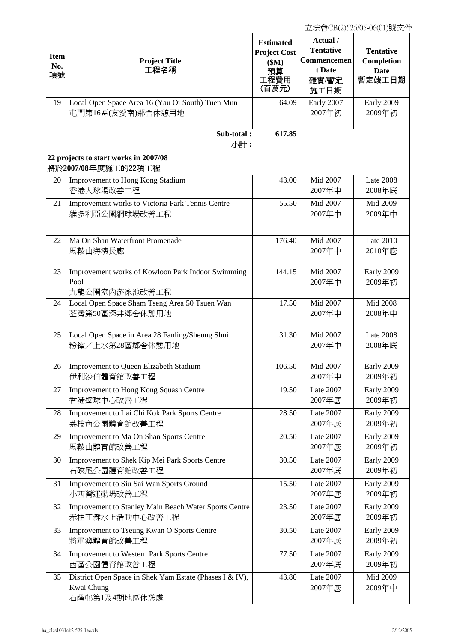| <b>Item</b><br>No.<br>項號 | <b>Project Title</b><br>工程名稱                                                           | <b>Estimated</b><br><b>Project Cost</b><br>\$M\$<br>預算<br>工程費用<br>(百萬元) | Actual /<br><b>Tentative</b><br>Commencemen<br>t Date<br>確實/暫定<br>施工日期 | <b>Tentative</b><br>Completion<br><b>Date</b><br>暫定竣工日期 |
|--------------------------|----------------------------------------------------------------------------------------|-------------------------------------------------------------------------|------------------------------------------------------------------------|---------------------------------------------------------|
| 19                       | Local Open Space Area 16 (Yau Oi South) Tuen Mun<br>屯門第16區(友愛南)鄰舍休憩用地                  | 64.09                                                                   | Early 2007<br>2007年初                                                   | Early 2009<br>2009年初                                    |
|                          | Sub-total:<br>小計:                                                                      | 617.85                                                                  |                                                                        |                                                         |
|                          | 22 projects to start works in 2007/08<br>將於2007/08年度施工的22項工程                           |                                                                         |                                                                        |                                                         |
| 20                       | Improvement to Hong Kong Stadium<br>香港大球場改善工程                                          | 43.00                                                                   | Mid 2007<br>2007年中                                                     | Late 2008<br>2008年底                                     |
| 21                       | Improvement works to Victoria Park Tennis Centre<br>維多利亞公園網球場改善工程                      | 55.50                                                                   | Mid 2007<br>2007年中                                                     | Mid 2009<br>2009年中                                      |
| 22                       | Ma On Shan Waterfront Promenade<br>馬鞍山海濱長廊                                             | 176.40                                                                  | Mid 2007<br>2007年中                                                     | Late 2010<br>2010年底                                     |
| 23                       | Improvement works of Kowloon Park Indoor Swimming<br>Pool<br>九龍公園室內游泳池改善工程             | 144.15                                                                  | Mid 2007<br>2007年中                                                     | Early 2009<br>2009年初                                    |
| $24\,$                   | Local Open Space Sham Tseng Area 50 Tsuen Wan<br>荃灣第50區深井鄰舍休憩用地                        | 17.50                                                                   | Mid 2007<br>2007年中                                                     | Mid 2008<br>2008年中                                      |
| 25                       | Local Open Space in Area 28 Fanling/Sheung Shui<br>粉嶺/上水第28區鄰舍休憩用地                     | 31.30                                                                   | Mid 2007<br>2007年中                                                     | Late 2008<br>2008年底                                     |
| 26                       | Improvement to Queen Elizabeth Stadium<br>伊利沙伯體育館改善工程                                  | 106.50                                                                  | Mid 2007<br>2007年中                                                     | Early 2009<br>2009年初                                    |
| 27                       | Improvement to Hong Kong Squash Centre<br>香港壁球中心改善工程                                   | 19.50                                                                   | Late 2007<br>2007年底                                                    | Early 2009<br>2009年初                                    |
| 28                       | Improvement to Lai Chi Kok Park Sports Centre<br>荔枝角公園體育館改善工程                          | 28.50                                                                   | Late 2007<br>2007年底                                                    | Early 2009<br>2009年初                                    |
| 29                       | Improvement to Ma On Shan Sports Centre<br>馬鞍山體育館改善工程                                  | 20.50                                                                   | Late 2007<br>2007年底                                                    | Early 2009<br>2009年初                                    |
| 30                       | Improvement to Shek Kip Mei Park Sports Centre<br>石硤尾公園體育館改善工程                         | 30.50                                                                   | <b>Late 2007</b><br>2007年底                                             | Early 2009<br>2009年初                                    |
| 31                       | Improvement to Siu Sai Wan Sports Ground<br>小西灣運動場改善工程                                 | 15.50                                                                   | Late 2007<br>2007年底                                                    | Early 2009<br>2009年初                                    |
| 32                       | Improvement to Stanley Main Beach Water Sports Centre<br>赤柱正灘水上活動中心改善工程                | 23.50                                                                   | Late 2007<br>2007年底                                                    | Early 2009<br>2009年初                                    |
| 33                       | Improvement to Tseung Kwan O Sports Centre<br>將軍澳體育館改善工程                               | 30.50                                                                   | Late 2007<br>2007年底                                                    | Early 2009<br>2009年初                                    |
| 34                       | Improvement to Western Park Sports Centre<br>西區公園體育館改善工程                               | 77.50                                                                   | Late 2007<br>2007年底                                                    | Early 2009<br>2009年初                                    |
| 35                       | District Open Space in Shek Yam Estate (Phases I & IV),<br>Kwai Chung<br>石蔭邨第1及4期地區休憩處 | 43.80                                                                   | Late 2007<br>2007年底                                                    | Mid 2009<br>2009年中                                      |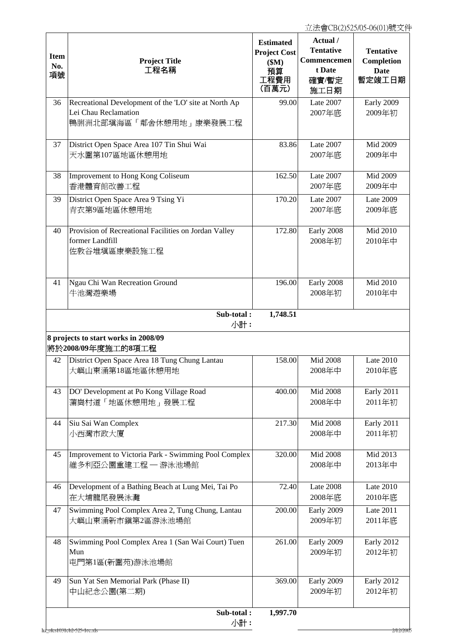| <b>Item</b><br>No.<br>項號 | <b>Project Title</b><br>工程名稱                                                                            | <b>Estimated</b><br><b>Project Cost</b><br>\$M\$<br>預算<br>工程費用<br>(百萬元) | Actual /<br><b>Tentative</b><br>Commencemen<br>t Date<br>確實/暫定<br>施工日期 | <b>Tentative</b><br>Completion<br><b>Date</b><br>暫定竣工日期 |
|--------------------------|---------------------------------------------------------------------------------------------------------|-------------------------------------------------------------------------|------------------------------------------------------------------------|---------------------------------------------------------|
| 36                       | Recreational Development of the 'LO' site at North Ap<br>Lei Chau Reclamation<br>鴨脷洲北部填海區「鄰舍休憩用地」康樂發展工程 | 99.00                                                                   | Late 2007<br>2007年底                                                    | Early 2009<br>2009年初                                    |
| 37                       | District Open Space Area 107 Tin Shui Wai<br>天水圍第107區地區休憩用地                                             | 83.86                                                                   | Late 2007<br>2007年底                                                    | Mid 2009<br>2009年中                                      |
| 38                       | Improvement to Hong Kong Coliseum<br>香港體育館改善工程                                                          | 162.50                                                                  | Late 2007<br>2007年底                                                    | Mid 2009<br>2009年中                                      |
| 39                       | District Open Space Area 9 Tsing Yi<br>青衣第9區地區休憩用地                                                      | 170.20                                                                  | Late 2007<br>2007年底                                                    | <b>Late 2009</b><br>2009年底                              |
| 40                       | Provision of Recreational Facilities on Jordan Valley<br>former Landfill<br>佐敦谷堆填區康樂設施工程                | 172.80                                                                  | Early 2008<br>2008年初                                                   | Mid 2010<br>2010年中                                      |
| 41                       | Ngau Chi Wan Recreation Ground<br>牛池灣遊樂場                                                                | 196.00                                                                  | Early 2008<br>2008年初                                                   | Mid 2010<br>2010年中                                      |
|                          | Sub-total:<br>小計:                                                                                       | 1,748.51                                                                |                                                                        |                                                         |
|                          | 8 projects to start works in 2008/09<br>將於2008/09年度施工的8項工程                                              |                                                                         |                                                                        |                                                         |
| 42                       | District Open Space Area 18 Tung Chung Lantau<br>大嶼山東涌第18區地區休憩用地                                        | 158.00                                                                  | <b>Mid 2008</b><br>2008年中                                              | Late 2010<br>2010年底                                     |
| 43                       | DO' Development at Po Kong Village Road<br>蒲崗村道「地區休憩用地」發展工程                                             | 400.00                                                                  | <b>Mid 2008</b><br>2008年中                                              | Early 2011<br>2011年初                                    |
| 44                       | Siu Sai Wan Complex<br>小西灣市政大廈                                                                          | 217.30                                                                  | <b>Mid 2008</b><br>2008年中                                              | Early 2011<br>2011年初                                    |
| 45                       | Improvement to Victoria Park - Swimming Pool Complex<br>維多利亞公園重建工程 - 游泳池場館                              | 320.00                                                                  | <b>Mid 2008</b><br>2008年中                                              | Mid 2013<br>2013年中                                      |
| 46                       | Development of a Bathing Beach at Lung Mei, Tai Po<br>在大埔龍尾發展泳灘                                         | 72.40                                                                   | Late 2008<br>2008年底                                                    | <b>Late 2010</b><br>2010年底                              |
| 47                       | Swimming Pool Complex Area 2, Tung Chung, Lantau<br>大嶼山東涌新市鎭第2區游泳池場館                                    | 200.00                                                                  | Early 2009<br>2009年初                                                   | Late 2011<br>2011年底                                     |
| 48                       | Swimming Pool Complex Area 1 (San Wai Court) Tuen<br>Mun<br>屯門第1區(新圍苑)游泳池場館                             | 261.00                                                                  | Early 2009<br>2009年初                                                   | Early 2012<br>2012年初                                    |
| 49                       | Sun Yat Sen Memorial Park (Phase II)<br>中山紀念公園(第二期)                                                     | 369.00                                                                  | Early 2009<br>2009年初                                                   | Early 2012<br>2012年初                                    |
|                          | Sub-total:<br>小計:<br>ha_olcs1031cb2-525-1ec.xls                                                         | 1,997.70                                                                |                                                                        | 2/12/2005                                               |